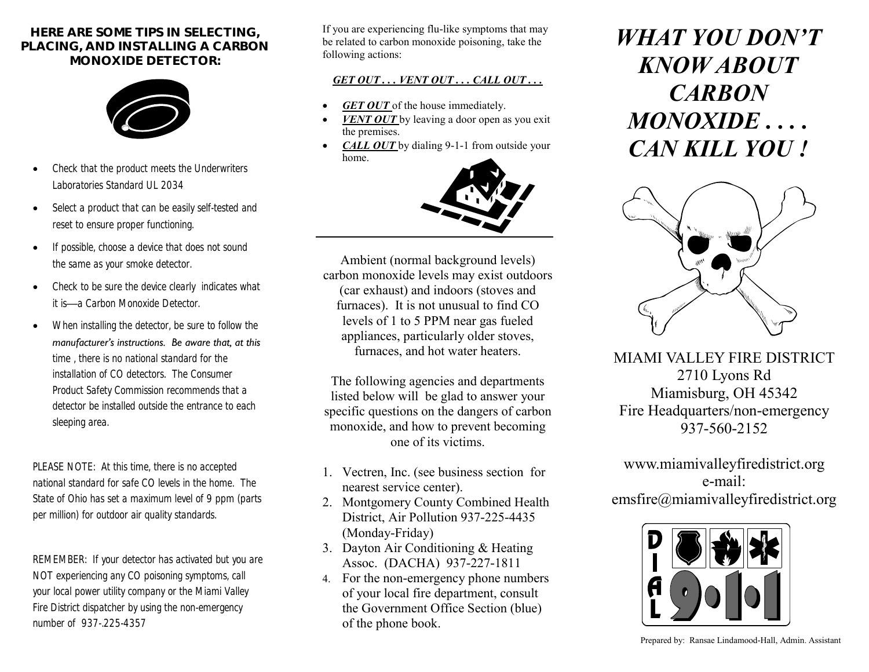## **HERE ARE SOME TIPS IN SELECTING, PLACING, AND INSTALLING A CARBON MONOXIDE DETECTOR:**



- *Check that the product meets the Underwriters Laboratories Standard UL 2034*
- *Select a product that can be easily self-tested and reset to ensure proper functioning.*
- *If possible, choose a device that does not sound the same as your smoke detector.*
- *Check to be sure the device clearly indicates what it is—a Carbon Monoxide Detector.*
- *When installing the detector, be sure to follow the manufacturer's instructions. Be aware that, at this time , there is no national standard for the installation of CO detectors. The Consumer Product Safety Commission recommends that a detector be installed outside the entrance to each sleeping area.*

*PLEASE NOTE: At this time, there is no accepted national standard for safe CO levels in the home. The State of Ohio has set a maximum level of 9 ppm (parts per million) for outdoor air quality standards.*

*REMEMBER: If your detector has activated but you are NOT experiencing any CO poisoning symptoms, call your local power utility company or the Miami Valley Fire District dispatcher by using the non-emergency number of 937-.225-4357*

If you are experiencing flu-like symptoms that may be related to carbon monoxide poisoning, take the following actions:

## *GET OUT . . . VENT OUT . . . CALL OUT . . .*

- *GET OUT* of the house immediately.
- *VENT OUT* by leaving a door open as you exit the premises.
- *CALL OUT* by dialing 9-1-1 from outside your home.



Ambient (normal background levels) carbon monoxide levels may exist outdoors (car exhaust) and indoors (stoves and furnaces). It is not unusual to find CO levels of 1 to 5 PPM near gas fueled appliances, particularly older stoves, furnaces, and hot water heaters.

The following agencies and departments listed below will be glad to answer your specific questions on the dangers of carbon monoxide, and how to prevent becoming one of its victims.

- 1. Vectren, Inc. (see business section for nearest service center).
- 2. Montgomery County Combined Health District, Air Pollution 937-225-4435 (Monday-Friday)
- 3. Dayton Air Conditioning & Heating Assoc. (DACHA) 937-227-1811
- 4. For the non-emergency phone numbers of your local fire department, consult the Government Office Section (blue) of the phone book.

# *WHAT YOU DON'T KNOW ABOUT CARBON MONOXIDE . . . . CAN KILL YOU !*



MIAMI VALLEY FIRE DISTRICT 2710 Lyons Rd Miamisburg, OH 45342 Fire Headquarters/non-emergency 937-560-2152

www.miamivalleyfiredistrict.org e-mail: emsfire@miamivalleyfiredistrict.org



Prepared by: Ransae Lindamood-Hall, Admin. Assistant